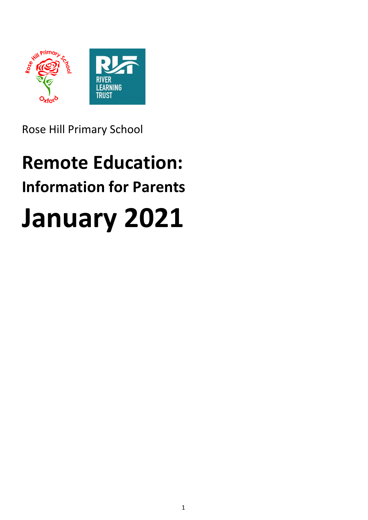

Rose Hill Primary School

# **Remote Education: Information for Parents January 2021**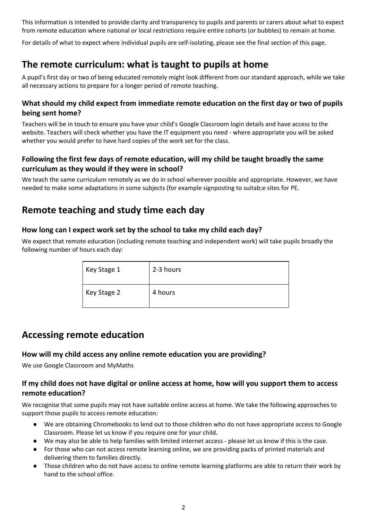This information is intended to provide clarity and transparency to pupils and parents or carers about what to expect from remote education where national or local restrictions require entire cohorts (or bubbles) to remain at home.

For details of what to expect where individual pupils are self-isolating, please see the final section of this page.

# **The remote curriculum: what is taught to pupils at home**

A pupil's first day or two of being educated remotely might look different from our standard approach, while we take all necessary actions to prepare for a longer period of remote teaching.

#### **What should my child expect from immediate remote education on the first day or two of pupils being sent home?**

Teachers will be in touch to ensure you have your child's Google Classroom login details and have access to the website. Teachers will check whether you have the IT equipment you need - where appropriate you will be asked whether you would prefer to have hard copies of the work set for the class.

### **Following the first few days of remote education, will my child be taught broadly the same curriculum as they would if they were in school?**

We teach the same curriculum remotely as we do in school wherever possible and appropriate. However, we have needed to make some adaptations in some subjects (for example signposting to suitab;e sites for PE.

## **Remote teaching and study time each day**

#### **How long can I expect work set by the school to take my child each day?**

We expect that remote education (including remote teaching and independent work) will take pupils broadly the following number of hours each day:

| Key Stage 1 | 2-3 hours |
|-------------|-----------|
| Key Stage 2 | 4 hours   |

## **Accessing remote education**

#### **How will my child access any online remote education you are providing?**

We use Google Classroom and MyMaths

#### If my child does not have digital or online access at home, how will you support them to access **remote education?**

We recognise that some pupils may not have suitable online access at home. We take the following approaches to support those pupils to access remote education:

- We are obtaining Chromebooks to lend out to those children who do not have appropriate access to Google Classroom. Please let us know if you require one for your child.
- We may also be able to help families with limited internet access please let us know if this is the case.
- For those who can not access remote learning online, we are providing packs of printed materials and delivering them to families directly.
- Those children who do not have access to online remote learning platforms are able to return their work by hand to the school office.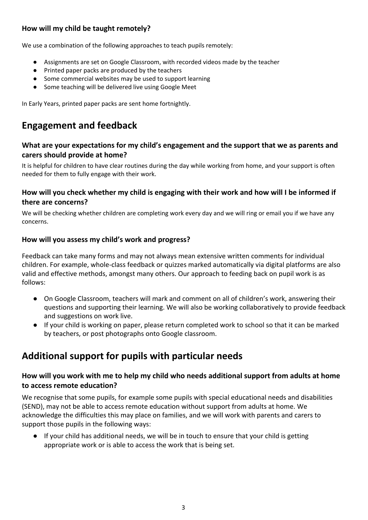## **How will my child be taught remotely?**

We use a combination of the following approaches to teach pupils remotely:

- Assignments are set on Google Classroom, with recorded videos made by the teacher
- Printed paper packs are produced by the teachers
- Some commercial websites may be used to support learning
- Some teaching will be delivered live using Google Meet

In Early Years, printed paper packs are sent home fortnightly.

# **Engagement and feedback**

#### **What are your expectations for my child's engagement and the support that we as parents and carers should provide at home?**

It is helpful for children to have clear routines during the day while working from home, and your support is often needed for them to fully engage with their work.

#### How will you check whether my child is engaging with their work and how will I be informed if **there are concerns?**

We will be checking whether children are completing work every day and we will ring or email you if we have any concerns.

#### **How will you assess my child's work and progress?**

Feedback can take many forms and may not always mean extensive written comments for individual children. For example, whole-class feedback or quizzes marked automatically via digital platforms are also valid and effective methods, amongst many others. Our approach to feeding back on pupil work is as follows:

- On Google Classroom, teachers will mark and comment on all of children's work, answering their questions and supporting their learning. We will also be working collaboratively to provide feedback and suggestions on work live.
- If your child is working on paper, please return completed work to school so that it can be marked by teachers, or post photographs onto Google classroom.

# **Additional support for pupils with particular needs**

#### **How will you work with me to help my child who needs additional support from adults at home to access remote education?**

We recognise that some pupils, for example some pupils with special educational needs and disabilities (SEND), may not be able to access remote education without support from adults at home. We acknowledge the difficulties this may place on families, and we will work with parents and carers to support those pupils in the following ways:

● If your child has additional needs, we will be in touch to ensure that your child is getting appropriate work or is able to access the work that is being set.